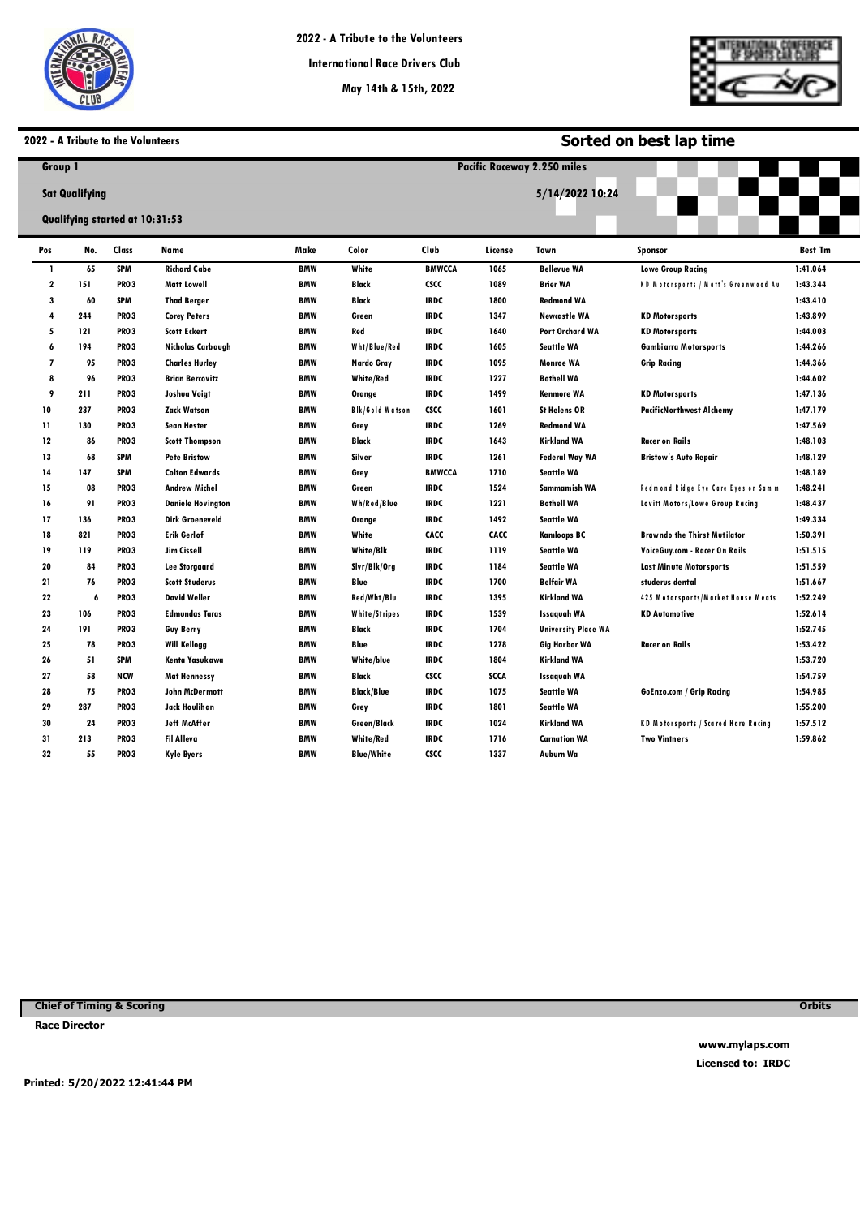

**Pacific Raceways**



**Sorted on best lap time**

## **2022 - A Tribute to the Volunteers**

| Group 1        |                                                         |                  |                          | <b>Pacific Raceway 2.250 miles</b> |                        |               |         |                            |                                             |                |  |  |  |
|----------------|---------------------------------------------------------|------------------|--------------------------|------------------------------------|------------------------|---------------|---------|----------------------------|---------------------------------------------|----------------|--|--|--|
|                | <b>Sat Qualifying</b><br>Qualifying started at 10:31:53 |                  |                          |                                    | 5/14/2022 10:24        |               |         |                            |                                             |                |  |  |  |
| Pos            | No.                                                     | Class            | Name                     | Make                               | Color                  | Club          | License | Town                       | <b>Sponsor</b>                              | <b>Best Tm</b> |  |  |  |
| $\mathbf{I}$   | 65                                                      | <b>SPM</b>       | <b>Richard Cabe</b>      | <b>BMW</b>                         | White                  | <b>BMWCCA</b> | 1065    | <b>Bellevue WA</b>         | <b>Lowe Group Racing</b>                    | 1:41.064       |  |  |  |
| $\mathbf 2$    | 151                                                     | <b>PRO3</b>      | <b>Matt Lowell</b>       | <b>BMW</b>                         | Black                  | <b>CSCC</b>   | 1089    | <b>Brier WA</b>            | <b>KD Motorsports / Matt's Greenwood At</b> | 1:43.344       |  |  |  |
| 3              | 60                                                      | <b>SPM</b>       | <b>Thad Berger</b>       | <b>BMW</b>                         | Black                  | <b>IRDC</b>   | 1800    | <b>Redmond WA</b>          |                                             | 1:43.410       |  |  |  |
| 4              | 244                                                     | <b>PRO3</b>      | <b>Corey Peters</b>      | <b>BMW</b>                         | Green                  | <b>IRDC</b>   | 1347    | <b>Newcastle WA</b>        | <b>KD Motorsports</b>                       | 1:43.899       |  |  |  |
| 5              | 121                                                     | <b>PRO3</b>      | <b>Scott Eckert</b>      | <b>BMW</b>                         | Red                    | <b>IRDC</b>   | 1640    | <b>Port Orchard WA</b>     | <b>KD Motorsports</b>                       | 1:44.003       |  |  |  |
| 6              | 194                                                     | <b>PRO3</b>      | Nicholas Carbaugh        | <b>BMW</b>                         | Wht/Blue/Red           | <b>IRDC</b>   | 1605    | <b>Seattle WA</b>          | <b>Gambiarra Motorsports</b>                | 1:44.266       |  |  |  |
| $\overline{1}$ | 95                                                      | PRO <sub>3</sub> | <b>Charles Hurley</b>    | <b>BMW</b>                         | Nardo Gray             | <b>IRDC</b>   | 1095    | <b>Monroe WA</b>           | <b>Grip Racing</b>                          | 1:44.366       |  |  |  |
| 8              | 96                                                      | <b>PRO3</b>      | <b>Brian Bercovitz</b>   | <b>BMW</b>                         | White/Red              | <b>IRDC</b>   | 1227    | <b>Bothell WA</b>          |                                             | 1:44.602       |  |  |  |
| 9              | 211                                                     | <b>PRO3</b>      | Joshua Voigt             | <b>BMW</b>                         | Orange                 | <b>IRDC</b>   | 1499    | <b>Kenmore WA</b>          | <b>KD Motorsports</b>                       | 1:47.136       |  |  |  |
| 10             | 237                                                     | <b>PRO3</b>      | <b>Zack Watson</b>       | <b>BMW</b>                         | <b>Bik/Gold Watson</b> | <b>CSCC</b>   | 1601    | <b>St Helens OR</b>        | <b>PacificNorthwest Alchemy</b>             | 1:47.179       |  |  |  |
| $\mathbf{11}$  | 130                                                     | <b>PRO3</b>      | <b>Sean Hester</b>       | <b>BMW</b>                         | Grey                   | <b>IRDC</b>   | 1269    | <b>Redmond WA</b>          |                                             | 1:47.569       |  |  |  |
| 12             | 86                                                      | <b>PRO3</b>      | <b>Scott Thompson</b>    | <b>BMW</b>                         | <b>Black</b>           | <b>IRDC</b>   | 1643    | <b>Kirkland WA</b>         | <b>Racer on Rails</b>                       | 1:48.103       |  |  |  |
| 13             | 68                                                      | <b>SPM</b>       | <b>Pete Bristow</b>      | <b>BMW</b>                         | Silver                 | <b>IRDC</b>   | 1261    | <b>Federal Way WA</b>      | <b>Bristow's Auto Repair</b>                | 1:48.129       |  |  |  |
| 14             | 147                                                     | <b>SPM</b>       | <b>Colton Edwards</b>    | <b>BMW</b>                         | Grey                   | <b>BMWCCA</b> | 1710    | <b>Seattle WA</b>          |                                             | 1:48.189       |  |  |  |
| 15             | 08                                                      | <b>PRO3</b>      | <b>Andrew Michel</b>     | <b>BMW</b>                         | Green                  | <b>IRDC</b>   | 1524    | Sammamish WA               | Redmond Ridge Eye Care Eyes on Samm         | 1:48.241       |  |  |  |
| 16             | 91                                                      | <b>PRO3</b>      | <b>Daniele Hovington</b> | <b>BMW</b>                         | Wh/Red/Blue            | <b>IRDC</b>   | 1221    | <b>Bothell WA</b>          | Lovitt Motors/Lowe Group Racing             | 1:48.437       |  |  |  |
| 17             | 136                                                     | <b>PRO3</b>      | <b>Dirk Groeneveld</b>   | <b>BMW</b>                         | Orange                 | <b>IRDC</b>   | 1492    | <b>Seattle WA</b>          |                                             | 1:49.334       |  |  |  |
| 18             | 821                                                     | <b>PRO3</b>      | <b>Erik Gerlof</b>       | <b>BMW</b>                         | White                  | CACC          | CACC    | <b>Kamloops BC</b>         | <b>Brawndo the Thirst Mutilator</b>         | 1:50.391       |  |  |  |
| 19             | 119                                                     | <b>PRO3</b>      | Jim Cissell              | <b>BMW</b>                         | White/Blk              | <b>IRDC</b>   | 1119    | <b>Seattle WA</b>          | VoiceGuy.com - Racer On Rails               | 1:51.515       |  |  |  |
| 20             | 84                                                      | <b>PRO3</b>      | <b>Lee Storgaard</b>     | <b>BMW</b>                         | Slvr/Blk/Org           | <b>IRDC</b>   | 1184    | <b>Seattle WA</b>          | <b>Last Minute Motorsports</b>              | 1:51.559       |  |  |  |
| 21             | 76                                                      | PRO <sub>3</sub> | <b>Scott Studerus</b>    | <b>BMW</b>                         | Blue                   | <b>IRDC</b>   | 1700    | <b>Belfair WA</b>          | studerus dental                             | 1:51.667       |  |  |  |
| 22             | 6                                                       | <b>PRO3</b>      | <b>David Weller</b>      | <b>BMW</b>                         | Red/Wht/Blu            | <b>IRDC</b>   | 1395    | <b>Kirkland WA</b>         | 425 Motorsports/Market House Meats          | 1:52.249       |  |  |  |
| 23             | 106                                                     | <b>PRO3</b>      | <b>Edmundas Taras</b>    | <b>BMW</b>                         | <b>White/Stripes</b>   | <b>IRDC</b>   | 1539    | <b>Issaquah WA</b>         | <b>KD Automotive</b>                        | 1:52.614       |  |  |  |
| 24             | 191                                                     | <b>PRO3</b>      | <b>Guy Berry</b>         | <b>BMW</b>                         | Black                  | <b>IRDC</b>   | 1704    | <b>University Place WA</b> |                                             | 1:52.745       |  |  |  |
| 25             | 78                                                      | <b>PRO3</b>      | <b>Will Kellogg</b>      | <b>BMW</b>                         | Blue                   | <b>IRDC</b>   | 1278    | <b>Gig Harbor WA</b>       | <b>Racer on Rails</b>                       | 1:53.422       |  |  |  |
| 26             | 51                                                      | <b>SPM</b>       | Kenta Yasukawa           | <b>BMW</b>                         | White/blue             | <b>IRDC</b>   | 1804    | <b>Kirkland WA</b>         |                                             | 1:53.720       |  |  |  |
| 27             | 58                                                      | <b>NCW</b>       | <b>Mat Hennessy</b>      | <b>BMW</b>                         | Black                  | <b>CSCC</b>   | SCCA    | <b>Issaquah WA</b>         |                                             | 1:54.759       |  |  |  |
| 28             | 75                                                      | PRO <sub>3</sub> | <b>John McDermott</b>    | <b>BMW</b>                         | <b>Black/Blue</b>      | <b>IRDC</b>   | 1075    | <b>Seattle WA</b>          | <b>GoEnzo.com / Grip Racing</b>             | 1:54.985       |  |  |  |
| 29             | 287                                                     | <b>PRO3</b>      | Jack Houlihan            | <b>BMW</b>                         | Grey                   | <b>IRDC</b>   | 1801    | <b>Seattle WA</b>          |                                             | 1:55.200       |  |  |  |
| 30             | 24                                                      | <b>PRO3</b>      | <b>Jeff McAffer</b>      | <b>BMW</b>                         | <b>Green/Black</b>     | <b>IRDC</b>   | 1024    | <b>Kirkland WA</b>         | <b>KD Motorsports / Scared Hare Racing</b>  | 1:57.512       |  |  |  |
| 31             | 213                                                     | <b>PRO3</b>      | <b>Fil Alleva</b>        | <b>BMW</b>                         | <b>White/Red</b>       | <b>IRDC</b>   | 1716    | <b>Carnation WA</b>        | <b>Two Vintners</b>                         | 1:59.862       |  |  |  |
| 32             | 55                                                      | <b>PRO3</b>      | <b>Kyle Byers</b>        | <b>BMW</b>                         | <b>Blue/White</b>      | <b>CSCC</b>   | 1337    | Auburn Wa                  |                                             |                |  |  |  |

**Chief of Timing & Scoring** 

**Race Director** 

**Orbits** 

**www.mylaps.com Licensed to: IRDC**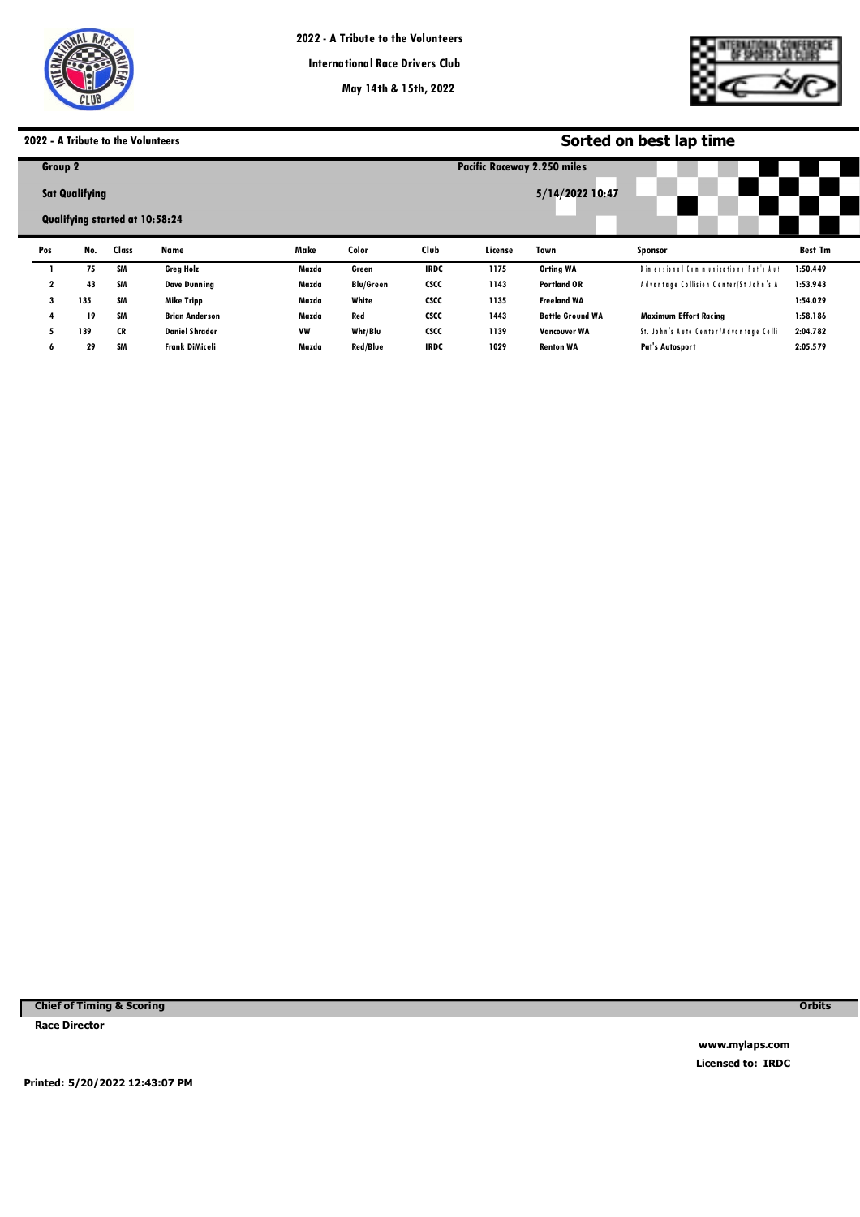

**International Race Drivers Club**

**May 14th & 15th, 2022**

**Pacific Raceways**



# **2022 - A Tribute to the Volunteers**

|              |                       | 2022 - A Tribute to the Volunteers |                       |           | Sorted on best lap time |             |         |                                    |                                        |                |  |  |  |
|--------------|-----------------------|------------------------------------|-----------------------|-----------|-------------------------|-------------|---------|------------------------------------|----------------------------------------|----------------|--|--|--|
| Group 2      |                       |                                    |                       |           |                         |             |         | <b>Pacific Raceway 2.250 miles</b> |                                        |                |  |  |  |
|              | <b>Sat Qualifying</b> |                                    |                       |           | 5/14/2022 10:47         |             |         |                                    |                                        |                |  |  |  |
|              |                       | Qualifying started at 10:58:24     |                       |           |                         |             |         |                                    |                                        |                |  |  |  |
| Pos          | No.                   | Class                              | Name                  | Make      | Color                   | Club        | License | Town                               | <b>Sponsor</b>                         | <b>Best Tm</b> |  |  |  |
|              | 75                    | <b>SM</b>                          | <b>Greg Holz</b>      | Mazda     | Green                   | <b>IRDC</b> | 1175    | <b>Orting WA</b>                   | Dimensional Communications /Pat's Aut  | 1:50.449       |  |  |  |
| $\mathbf{2}$ | 43                    | SM                                 | <b>Dave Dunning</b>   | Mazda     | <b>Blu/Green</b>        | <b>CSCC</b> | 1143    | <b>Portland OR</b>                 | Advantage Collision Center/St John's A | 1:53.943       |  |  |  |
| 3            | 135                   | SM                                 | Mike Tripp            | Mazda     | White                   | <b>CSCC</b> | 1135    | <b>Freeland WA</b>                 |                                        | 1:54.029       |  |  |  |
| 4            | 19                    | <b>SM</b>                          | <b>Brian Anderson</b> | Mazda     | Red                     | <b>CSCC</b> | 1443    | <b>Battle Ground WA</b>            | <b>Maximum Effort Racing</b>           | 1:58.186       |  |  |  |
| 5.           | 139                   | <b>CR</b>                          | <b>Daniel Shrader</b> | <b>VW</b> | Wht/Blu                 | <b>CSCC</b> | 1139    | <b>Vancouver WA</b>                | St. John's Auto Center/Advantage Colli | 2:04.782       |  |  |  |
| 6            | 29                    | SM                                 | <b>Frank DiMiceli</b> | Mazda     | Red/Blue                | <b>IRDC</b> | 1029    | <b>Renton WA</b>                   | Pat's Autosport                        | 2:05.579       |  |  |  |
|              |                       |                                    |                       |           |                         |             |         |                                    |                                        |                |  |  |  |

**Chief of Timing & Scoring** 

**Race Director** 

**Orbits** 

**www.mylaps.com Licensed to: IRDC** 

**Printed: 5/20/2022 12:43:07 PM**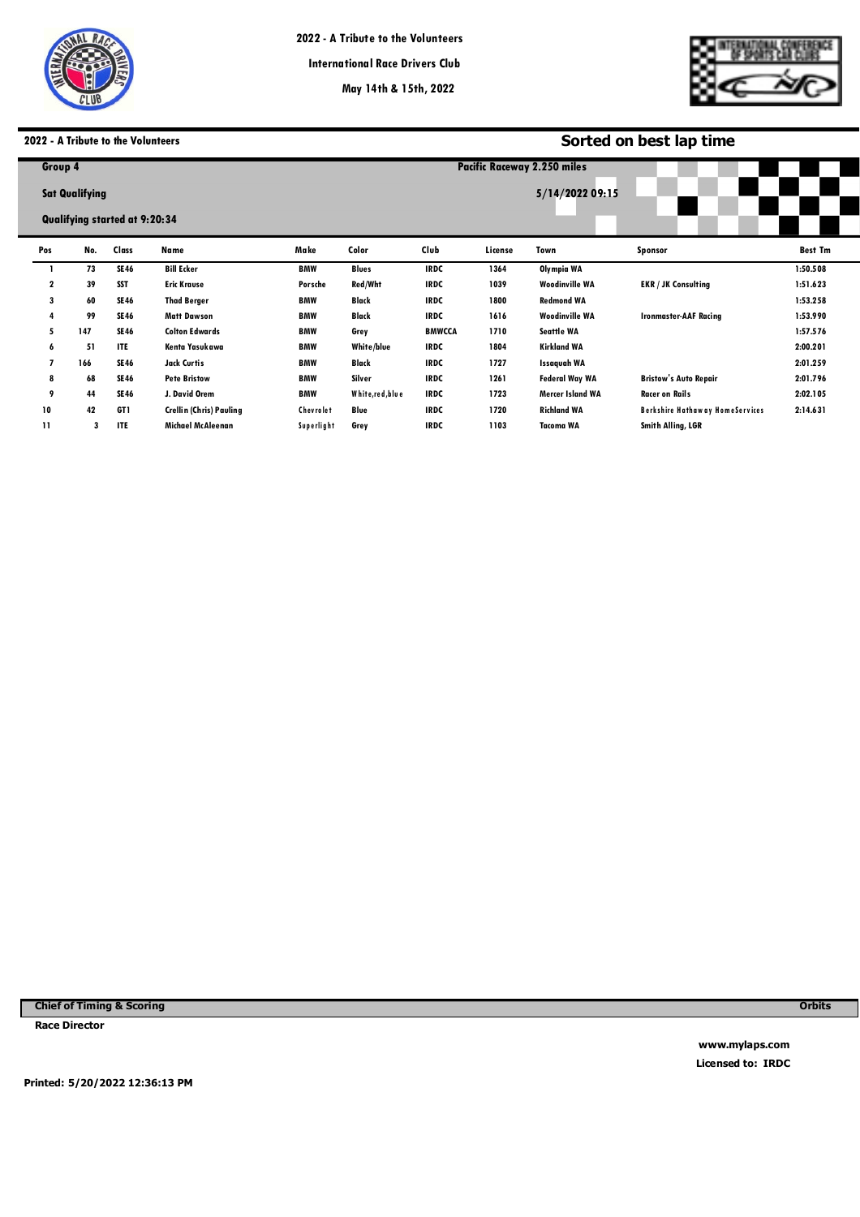

**Pacific Raceways**



# **2022 - A Tribute to the Volunteers**

|               | 2022 - A Tribute to the Volunteers   |             |                                |            |                 |                                                       | Sorted on best lap time |                         |                                        |                |  |  |  |
|---------------|--------------------------------------|-------------|--------------------------------|------------|-----------------|-------------------------------------------------------|-------------------------|-------------------------|----------------------------------------|----------------|--|--|--|
|               | Group 4                              |             |                                |            |                 | <b>Pacific Raceway 2.250 miles</b><br>5/14/2022 09:15 |                         |                         |                                        |                |  |  |  |
|               | <b>Sat Qualifying</b>                |             |                                |            |                 |                                                       |                         |                         |                                        |                |  |  |  |
|               | <b>Qualifying started at 9:20:34</b> |             |                                |            |                 |                                                       |                         |                         |                                        |                |  |  |  |
| Pos           | No.                                  | Class       | Name                           | Make       | Color           | Club                                                  | License                 | Town                    | Sponsor                                | <b>Best Tm</b> |  |  |  |
|               | 73                                   | <b>SE46</b> | <b>Bill Ecker</b>              | <b>BMW</b> | <b>Blues</b>    | <b>IRDC</b>                                           | 1364                    | Olympia WA              |                                        | 1:50.508       |  |  |  |
| 2             | 39                                   | <b>SST</b>  | <b>Eric Krause</b>             | Porsche    | Red/Wht         | <b>IRDC</b>                                           | 1039                    | <b>Woodinville WA</b>   | <b>EKR / JK Consulting</b>             | 1:51.623       |  |  |  |
| 3             | 60                                   | <b>SE46</b> | <b>Thad Berger</b>             | <b>BMW</b> | Black           | <b>IRDC</b>                                           | 1800                    | <b>Redmond WA</b>       |                                        | 1:53.258       |  |  |  |
| 4             | 99                                   | <b>SE46</b> | <b>Matt Dawson</b>             | <b>BMW</b> | Black           | <b>IRDC</b>                                           | 1616                    | <b>Woodinville WA</b>   | <b>Ironmaster-AAF Racing</b>           | 1:53.990       |  |  |  |
| 5             | 147                                  | SE 46       | <b>Colton Edwards</b>          | <b>BMW</b> | Grey            | <b>BMWCCA</b>                                         | 1710                    | Seattle WA              |                                        | 1:57.576       |  |  |  |
| 6             | 51                                   | ITE         | Kenta Yasukawa                 | <b>BMW</b> | White/blue      | <b>IRDC</b>                                           | 1804                    | <b>Kirkland WA</b>      |                                        | 2:00.201       |  |  |  |
| 7             | 166                                  | SE 46       | Jack Curtis                    | <b>BMW</b> | Black           | <b>IRDC</b>                                           | 1727                    | <b>Issaquah WA</b>      |                                        | 2:01.259       |  |  |  |
| 8             | 68                                   | SE 46       | <b>Pete Bristow</b>            | <b>BMW</b> | Silver          | <b>IRDC</b>                                           | 1261                    | <b>Federal Way WA</b>   | <b>Bristow's Auto Repair</b>           | 2:01.796       |  |  |  |
| 9             | 44                                   | <b>SE46</b> | J. David Orem                  | <b>BMW</b> | White,red, blue | <b>IRDC</b>                                           | 1723                    | <b>Mercer Island WA</b> | <b>Racer on Rails</b>                  | 2:02.105       |  |  |  |
| 10            | 42                                   | GT1         | <b>Crellin (Chris) Pauling</b> | Chevrolet  | Blue            | <b>IRDC</b>                                           | 1720                    | <b>Richland WA</b>      | <b>Berkshire Hathaway HomeServices</b> | 2:14.631       |  |  |  |
| $\mathbf{11}$ | 3                                    | <b>ITE</b>  | <b>Michael McAleenan</b>       | Superlight | Grey            | <b>IRDC</b>                                           | 1103                    | <b>Tacoma WA</b>        | Smith Alling, LGR                      |                |  |  |  |

**Chief of Timing & Scoring** 

**Race Director** 

**Orbits** 

**www.mylaps.com Licensed to: IRDC** 

**Printed: 5/20/2022 12:36:13 PM**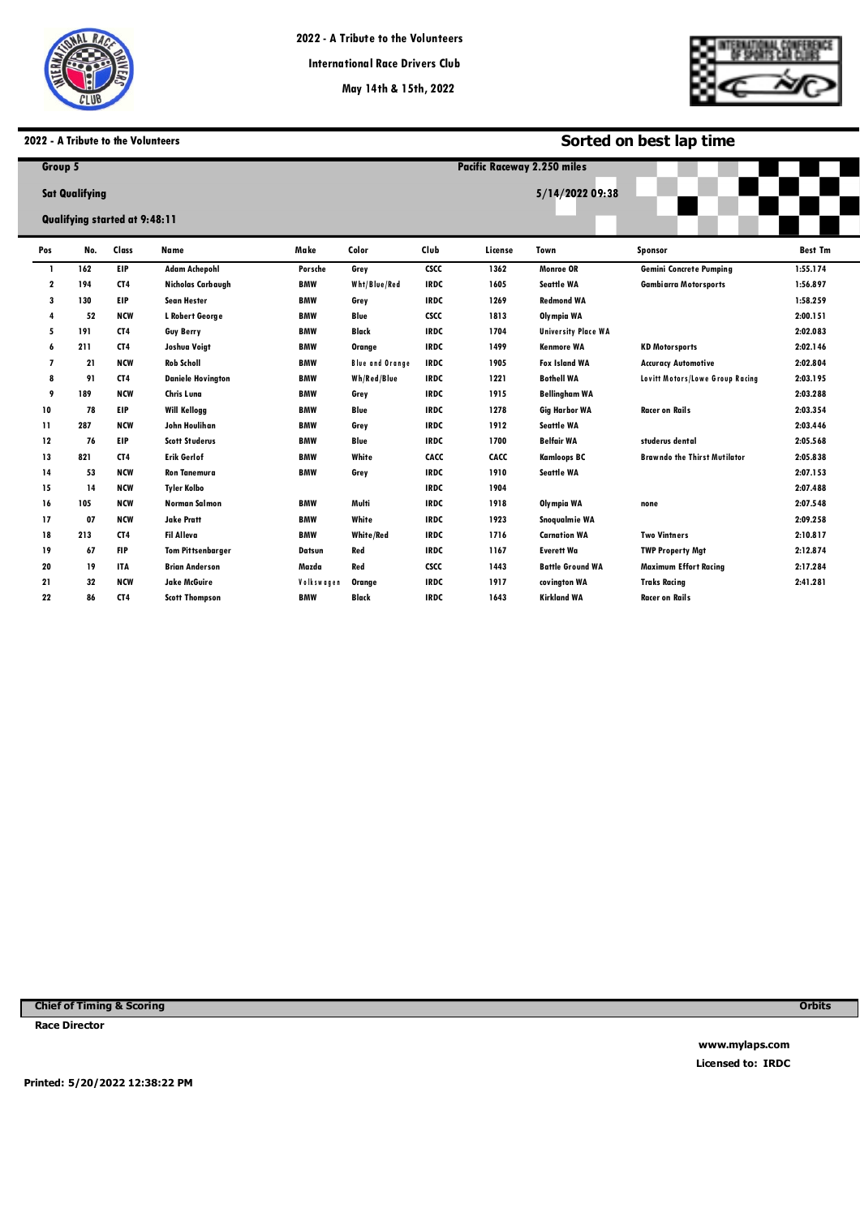

**Pacific Raceways**



**Sorted on best lap time**

# **2022 - A Tribute to the Volunteers**

| Group 5                 |                                                               |                 |                          |            |                        |                 | <b>Pacific Raceway 2.250 miles</b> |                            |                                     |                |  |  |
|-------------------------|---------------------------------------------------------------|-----------------|--------------------------|------------|------------------------|-----------------|------------------------------------|----------------------------|-------------------------------------|----------------|--|--|
|                         | <b>Sat Qualifying</b><br><b>Qualifying started at 9:48:11</b> |                 |                          |            |                        | 5/14/2022 09:38 |                                    |                            |                                     |                |  |  |
| Pos                     | No.                                                           | Class           | <b>Name</b>              | Make       | Color                  | Club            | License                            | Town                       | <b>Sponsor</b>                      | <b>Best Tm</b> |  |  |
| $\mathbf{I}$            | 162                                                           | <b>EIP</b>      | <b>Adam Achepohl</b>     | Porsche    | Grey                   | <b>CSCC</b>     | 1362                               | Monroe OR                  | <b>Gemini Concrete Pumping</b>      | 1:55.174       |  |  |
| $\overline{\mathbf{2}}$ | 194                                                           | CT <sub>4</sub> | Nicholas Carbaugh        | <b>BMW</b> | Wht/Blue/Red           | <b>IRDC</b>     | 1605                               | <b>Seattle WA</b>          | <b>Gambiarra Motorsports</b>        | 1:56.897       |  |  |
| 3                       | 130                                                           | <b>EIP</b>      | <b>Sean Hester</b>       | <b>BMW</b> | Grey                   | <b>IRDC</b>     | 1269                               | <b>Redmond WA</b>          |                                     | 1:58.259       |  |  |
| 4                       | 52                                                            | <b>NCW</b>      | L Robert George          | <b>BMW</b> | Blue                   | <b>CSCC</b>     | 1813                               | Olympia WA                 |                                     | 2:00.151       |  |  |
| 5                       | 191                                                           | CT <sub>4</sub> | <b>Guy Berry</b>         | <b>BMW</b> | <b>Black</b>           | <b>IRDC</b>     | 1704                               | <b>University Place WA</b> |                                     | 2:02.083       |  |  |
| 6                       | 211                                                           | CT <sub>4</sub> | Joshua Voigt             | <b>BMW</b> | Orange                 | <b>IRDC</b>     | 1499                               | <b>Kenmore WA</b>          | <b>KD Motorsports</b>               | 2:02.146       |  |  |
| $\overline{7}$          | 21                                                            | <b>NCW</b>      | <b>Rob Scholl</b>        | <b>BMW</b> | <b>Blue and Orange</b> | <b>IRDC</b>     | 1905                               | <b>Fox Island WA</b>       | <b>Accuracy Automotive</b>          | 2:02.804       |  |  |
| 8                       | 91                                                            | CT <sub>4</sub> | <b>Daniele Hovington</b> | <b>BMW</b> | Wh/Red/Blue            | <b>IRDC</b>     | 1221                               | <b>Bothell WA</b>          | Lovitt Motors/Lowe Group Racing     | 2:03.195       |  |  |
| 9                       | 189                                                           | <b>NCW</b>      | Chris Luna               | <b>BMW</b> | Grey                   | <b>IRDC</b>     | 1915                               | <b>Bellingham WA</b>       |                                     | 2:03.288       |  |  |
| 10                      | 78                                                            | <b>EIP</b>      | <b>Will Kellogg</b>      | <b>BMW</b> | Blue                   | <b>IRDC</b>     | 1278                               | <b>Gig Harbor WA</b>       | <b>Racer on Rails</b>               | 2:03.354       |  |  |
| 11                      | 287                                                           | <b>NCW</b>      | John Houlihan            | <b>BMW</b> | Grey                   | <b>IRDC</b>     | 1912                               | <b>Seattle WA</b>          |                                     | 2:03.446       |  |  |
| 12                      | 76                                                            | <b>EIP</b>      | <b>Scott Studerus</b>    | <b>BMW</b> | Blue                   | <b>IRDC</b>     | 1700                               | <b>Belfair WA</b>          | studerus dental                     | 2:05.568       |  |  |
| 13                      | 821                                                           | CT <sub>4</sub> | <b>Erik Gerlof</b>       | <b>BMW</b> | White                  | CACC            | CACC                               | <b>Kamloops BC</b>         | <b>Brawndo the Thirst Mutilator</b> | 2:05.838       |  |  |
| 14                      | 53                                                            | <b>NCW</b>      | <b>Ron Tanemura</b>      | <b>BMW</b> | Grey                   | <b>IRDC</b>     | 1910                               | <b>Seattle WA</b>          |                                     | 2:07.153       |  |  |
| 15                      | 14                                                            | <b>NCW</b>      | <b>Tyler Kolbo</b>       |            |                        | <b>IRDC</b>     | 1904                               |                            |                                     | 2:07.488       |  |  |
| 16                      | 105                                                           | <b>NCW</b>      | <b>Norman Salmon</b>     | <b>BMW</b> | Multi                  | <b>IRDC</b>     | 1918                               | Olympia WA                 | none                                | 2:07.548       |  |  |
| 17                      | 07                                                            | <b>NCW</b>      | <b>Jake Pratt</b>        | <b>BMW</b> | White                  | <b>IRDC</b>     | 1923                               | Snogualmie WA              |                                     | 2:09.258       |  |  |
| 18                      | 213                                                           | CT <sub>4</sub> | <b>Fil Alleva</b>        | <b>BMW</b> | <b>White/Red</b>       | <b>IRDC</b>     | 1716                               | <b>Carnation WA</b>        | <b>Two Vintners</b>                 | 2:10.817       |  |  |
| 19                      | 67                                                            | <b>FIP</b>      | <b>Tom Pittsenbarger</b> | Datsun     | Red                    | <b>IRDC</b>     | 1167                               | <b>Everett Wa</b>          | <b>TWP Property Mgt</b>             | 2:12.874       |  |  |
| 20                      | 19                                                            | <b>ITA</b>      | <b>Brian Anderson</b>    | Mazda      | Red                    | <b>CSCC</b>     | 1443                               | <b>Battle Ground WA</b>    | <b>Maximum Effort Racing</b>        | 2:17.284       |  |  |
| 21                      | 32                                                            | <b>NCW</b>      | <b>Jake McGuire</b>      | Volkswagen | Orange                 | <b>IRDC</b>     | 1917                               | covington WA               | <b>Traks Racing</b>                 | 2:41.281       |  |  |
| 22                      | 86                                                            | CT <sub>4</sub> | <b>Scott Thompson</b>    | <b>BMW</b> | <b>Black</b>           | <b>IRDC</b>     | 1643                               | <b>Kirkland WA</b>         | <b>Racer on Rails</b>               |                |  |  |

**Chief of Timing & Scoring** 

**Race Director** 

**Orbits** 

**www.mylaps.com Licensed to: IRDC** 

**Printed: 5/20/2022 12:38:22 PM**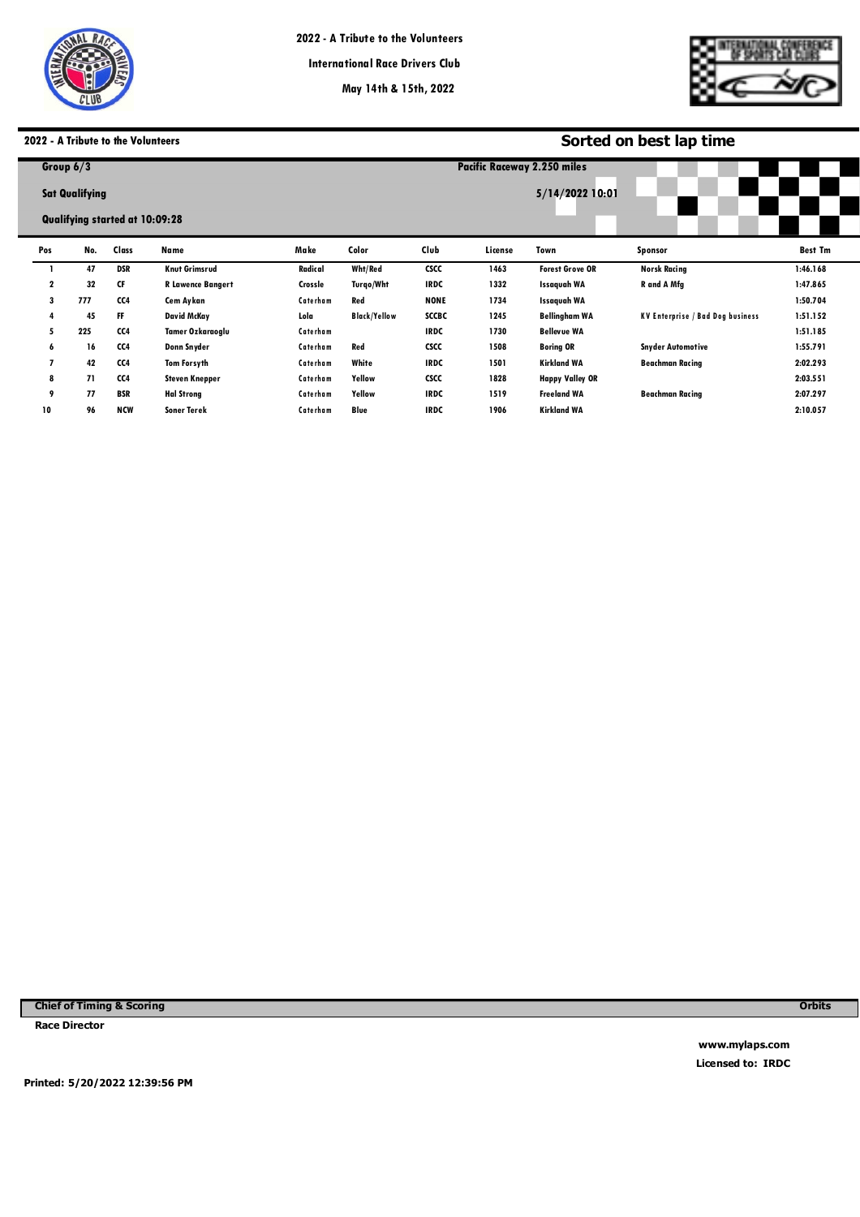

**Pacific Raceways**



# **2022 - A Tribute to the Volunteers**

| <b>2022 - A Tribute to the Volunteers</b> |                                |            |                          |          |                                                |              | Sorted on best lap time |                        |                                         |                |  |  |  |
|-------------------------------------------|--------------------------------|------------|--------------------------|----------|------------------------------------------------|--------------|-------------------------|------------------------|-----------------------------------------|----------------|--|--|--|
|                                           | Group $6/3$                    |            |                          |          | Pacific Raceway 2.250 miles<br>5/14/2022 10:01 |              |                         |                        |                                         |                |  |  |  |
|                                           | <b>Sat Qualifying</b>          |            |                          |          |                                                |              |                         |                        |                                         |                |  |  |  |
|                                           | Qualifying started at 10:09:28 |            |                          |          |                                                |              |                         |                        |                                         |                |  |  |  |
| Pos                                       | No.                            | Class      | Name                     | Make     | Color                                          | Club         | License                 | Town                   | <b>Sponsor</b>                          | <b>Best Tm</b> |  |  |  |
|                                           | 47                             | <b>DSR</b> | <b>Knut Grimsrud</b>     | Radical  | Wht/Red                                        | <b>CSCC</b>  | 1463                    | <b>Forest Grove OR</b> | <b>Norsk Racing</b>                     | 1:46.168       |  |  |  |
| 2                                         | 32                             | CF         | <b>R Lawence Bangert</b> | Crossle  | Turgo/Wht                                      | <b>IRDC</b>  | 1332                    | Issaquah WA            | R and A Mfg                             | 1:47.865       |  |  |  |
| 3                                         | 777                            | CC4        | Cem Aykan                | Caterham | Red                                            | <b>NONE</b>  | 1734                    | Issaquah WA            |                                         | 1:50.704       |  |  |  |
| 4                                         | 45                             | FF         | <b>David McKay</b>       | Lola     | <b>Black/Yellow</b>                            | <b>SCCBC</b> | 1245                    | <b>Bellingham WA</b>   | <b>KV Enterprise / Bad Dog business</b> | 1:51.152       |  |  |  |
| 5                                         | 225                            | CC4        | Tamer Ozkaraoglu         | Caterham |                                                | <b>IRDC</b>  | 1730                    | <b>Bellevue WA</b>     |                                         | 1:51.185       |  |  |  |
| 6                                         | 16                             | CC4        | Donn Snyder              | Caterham | Red                                            | <b>CSCC</b>  | 1508                    | <b>Boring OR</b>       | <b>Snyder Automotive</b>                | 1:55.791       |  |  |  |
| 7                                         | 42                             | CC4        | <b>Tom Forsyth</b>       | Caterham | White                                          | <b>IRDC</b>  | 1501                    | <b>Kirkland WA</b>     | <b>Beachman Racing</b>                  | 2:02.293       |  |  |  |
| 8                                         | 71                             | CC4        | <b>Steven Knepper</b>    | Caterham | Yellow                                         | <b>CSCC</b>  | 1828                    | <b>Happy Valley OR</b> |                                         | 2:03.551       |  |  |  |
| 9                                         | 77                             | <b>BSR</b> | <b>Hal Strong</b>        | Caterham | Yellow                                         | <b>IRDC</b>  | 1519                    | <b>Freeland WA</b>     | <b>Beachman Racing</b>                  | 2:07.297       |  |  |  |
| 10                                        | 96                             | <b>NCW</b> | <b>Soner Terek</b>       | Caterham | Blue                                           | <b>IRDC</b>  | 1906                    | <b>Kirkland WA</b>     |                                         | 2:10.057       |  |  |  |

**Chief of Timing & Scoring** 

**Race Director** 

**Orbits** 

**www.mylaps.com Licensed to: IRDC** 

**Printed: 5/20/2022 12:39:56 PM**